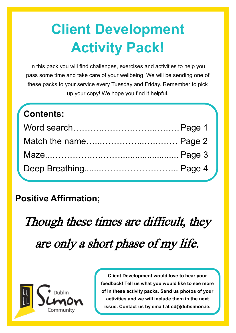# **Client Development Activity Pack!**

In this pack you will find challenges, exercises and activities to help you pass some time and take care of your wellbeing. We will be sending one of these packs to your service every Tuesday and Friday. Remember to pick up your copy! We hope you find it helpful.

| Contents:             |  |
|-----------------------|--|
|                       |  |
| Match the name Page 2 |  |
|                       |  |
| Deep Breathing Page 4 |  |

### **Positive Affirmation;**

# Though these times are difficult, they are only a short phase of my life.



**Client Development would love to hear your feedback! Tell us what you would like to see more of in these activity packs. Send us photos of your activities and we will include them in the next issue. Contact us by email at cd@dubsimon.ie.**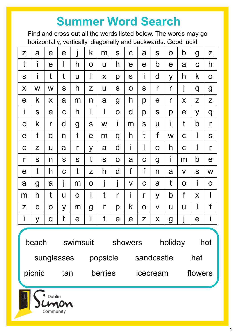## **Summer Word Search**

Find and cross out all the words listed below. The words may go horizontally, vertically, diagonally and backwards. Good luck!

| Z             | a                                  | $\mathbf e$           | $\mathbf e$  |             | k                   | m                      | S            | $\mathbf C$  | a            | S            | $\mathbf O$  | b           | $\boldsymbol{g}$ | Z            |
|---------------|------------------------------------|-----------------------|--------------|-------------|---------------------|------------------------|--------------|--------------|--------------|--------------|--------------|-------------|------------------|--------------|
| t             | İ                                  | $\boldsymbol{\Theta}$ | $\mathbf{I}$ | h           | $\mathbf O$         | U                      | h            | $\mathbf e$  | $\mathbf e$  | b            | $\mathbf e$  | a           | $\mathbf C$      | h            |
| S             | İ                                  | t                     | t            | U           | $\sf I$             | X                      | р            | S            | İ            | d            | y            | h           | k                | O            |
| X             | W                                  | W                     | S            | h           | Z                   | U                      | S            | O            | S            | r            | $\mathsf{r}$ | j           | q                | g            |
| e             | k                                  | X                     | a            | m           | n                   | a                      | g            | h            | p            | e            | $\mathsf{r}$ | X           | Z                | Z            |
| İ             | S                                  | $\mathbf e$           | $\mathbf C$  | h           | $\mathsf I$         | $\mathsf{l}$           | $\mathbf O$  | d            | p            | S            | p            | e           | y                | q            |
| $\mathbf C$   | k                                  | r                     | $\mathsf{d}$ | g           | S                   | W                      | i            | m            | S            | U            | i            | t           | b                | $\mathsf{r}$ |
| $\mathbf e$   | t                                  | $\mathsf{d}$          | n            | t           | $\mathbf e$         | m                      | q            | h            | t            | f            | W            | C           | $\mathsf I$      | S            |
| $\mathbf C$   | Z                                  | U                     | a            | r           | y                   | a                      | $\mathsf{d}$ | İ            | $\mathsf{l}$ | O            | h            | $\mathbf C$ | $\mathsf{l}$     | $\mathsf{r}$ |
| $\mathsf{r}$  | S                                  | n                     | S            | S           | t                   | S                      | O            | a            | $\mathbf C$  | g            | İ            | m           | b                | $\mathbf e$  |
| e             | t                                  | h                     | $\mathsf C$  | t           | Z                   | h                      | d            | f            | f            | n            | a            | V           | S                | W            |
| a             | g                                  | a                     | İ            | m           | $\mathbf O$         | j                      |              | $\mathsf{V}$ | $\mathbf C$  | a            | t            | $\mathbf O$ | İ                | O            |
| m             | h                                  | t                     | U            | $\mathbf O$ | İ                   | t                      | $\mathsf{r}$ | İ            | r            | y            | b            | f           | X                | I            |
| Z             | $\mathbf C$                        | $\mathbf O$           | y            | m           | g                   | r                      | р            | k            | $\mathbf O$  | $\mathsf{V}$ | U            | U           | I                | f            |
| İ             | y                                  | q                     | t            | e           | i                   | t                      | е            | е            | Z            | X            | $\mathbf g$  |             | $\mathbf e$      |              |
|               | swimsuit showers<br>holiday<br>hot |                       |              |             |                     |                        |              |              |              |              |              |             |                  |              |
| beach         |                                    |                       |              |             |                     |                        |              |              |              |              |              |             |                  |              |
| sunglasses    |                                    |                       |              |             |                     | sandcastle<br>popsicle |              |              |              | hat          |              |             |                  |              |
| picnic<br>tan |                                    |                       |              |             | berries<br>icecream |                        |              |              | flowers      |              |              |             |                  |              |
|               |                                    | Dublin                |              |             |                     |                        |              |              |              |              |              |             |                  |              |
|               |                                    |                       |              |             |                     |                        |              |              |              |              |              |             |                  |              |

Community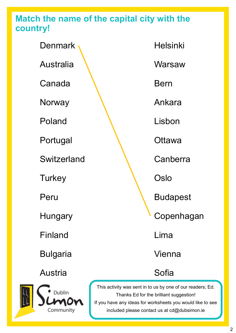### **Match the name of the capital city with the country!**

| <b>Denmark</b>   |
|------------------|
| <b>Australia</b> |
| Canada           |
| Norway           |
| Poland           |
| Portugal         |
| Switzerland      |
| <b>Turkey</b>    |
| Peru             |
| Hungary          |
| Finland          |
| <b>Bulgaria</b>  |

Austria



Helsinki

**Warsaw** 

Bern

Ankara

Lisbon

**Ottawa** 

Canberra

**Oslo** 

Budapest

Copenhagan

Lima

Vienna

Sofia

This activity was sent in to us by one of our readers; Ed. Thanks Ed for the brilliant suggestion! If you have any ideas for worksheets you would like to see included please contact us at cd@dubsimon.ie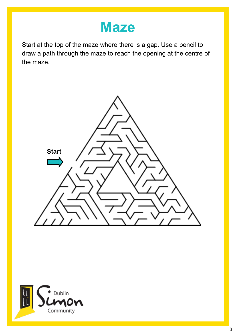## **Maze**

Start at the top of the maze where there is a gap. Use a pencil to draw a path through the maze to reach the opening at the centre of the maze.